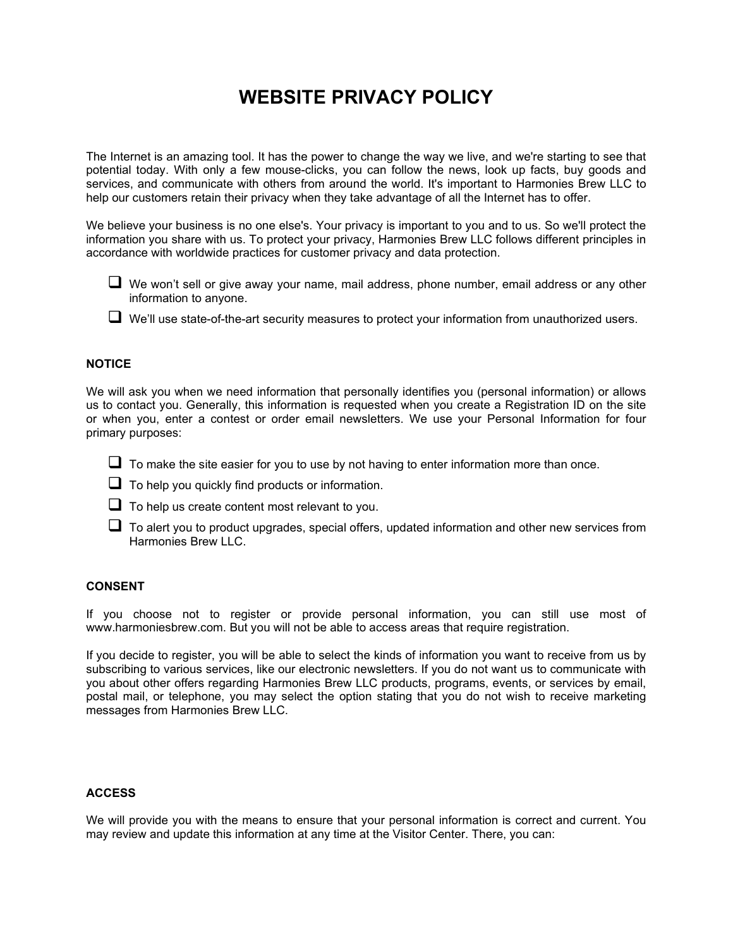# **WEBSITE PRIVACY POLICY**

The Internet is an amazing tool. It has the power to change the way we live, and we're starting to see that potential today. With only a few mouse-clicks, you can follow the news, look up facts, buy goods and services, and communicate with others from around the world. It's important to Harmonies Brew LLC to help our customers retain their privacy when they take advantage of all the Internet has to offer.

We believe your business is no one else's. Your privacy is important to you and to us. So we'll protect the information you share with us. To protect your privacy, Harmonies Brew LLC follows different principles in accordance with worldwide practices for customer privacy and data protection.

- $\Box$  We won't sell or give away your name, mail address, phone number, email address or any other information to anyone.
- We'll use state-of-the-art security measures to protect your information from unauthorized users.

### **NOTICE**

We will ask you when we need information that personally identifies you (personal information) or allows us to contact you. Generally, this information is requested when you create a Registration ID on the site or when you, enter a contest or order email newsletters. We use your Personal Information for four primary purposes:

- $\Box$  To make the site easier for you to use by not having to enter information more than once.
- $\Box$  To help you quickly find products or information.
- $\Box$  To help us create content most relevant to you.
- $\Box$  To alert you to product upgrades, special offers, updated information and other new services from Harmonies Brew LLC.

## **CONSENT**

If you choose not to register or provide personal information, you can still use most of www.harmoniesbrew.com. But you will not be able to access areas that require registration.

If you decide to register, you will be able to select the kinds of information you want to receive from us by subscribing to various services, like our electronic newsletters. If you do not want us to communicate with you about other offers regarding Harmonies Brew LLC products, programs, events, or services by email, postal mail, or telephone, you may select the option stating that you do not wish to receive marketing messages from Harmonies Brew LLC.

## **ACCESS**

We will provide you with the means to ensure that your personal information is correct and current. You may review and update this information at any time at the Visitor Center. There, you can: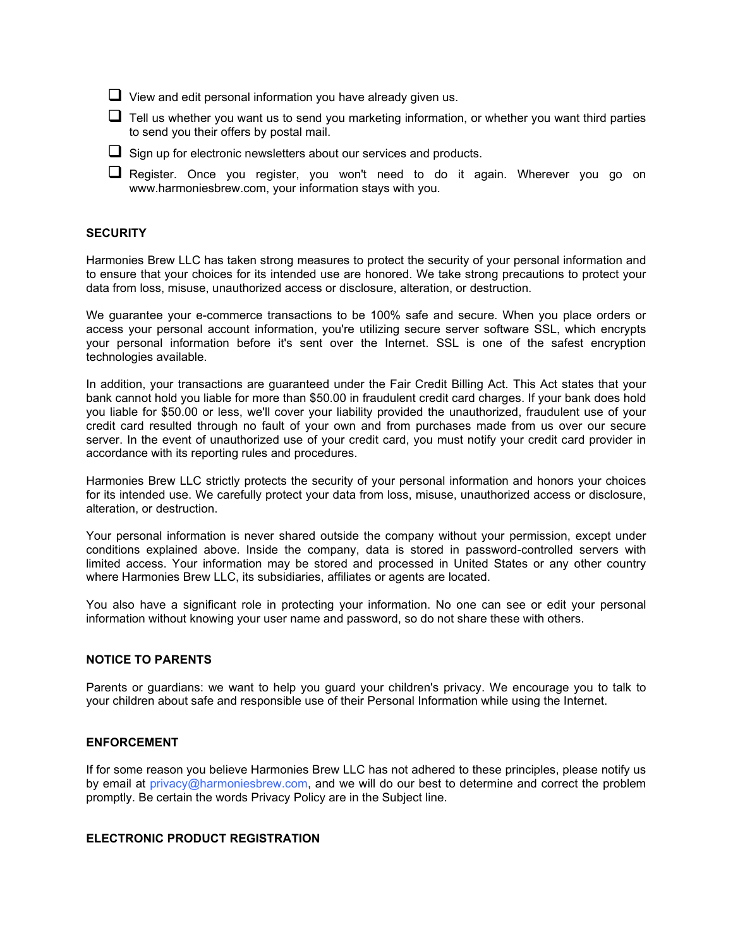$\Box$  View and edit personal information you have already given us.

 $\Box$  Tell us whether you want us to send you marketing information, or whether you want third parties to send you their offers by postal mail.

 $\Box$  Sign up for electronic newsletters about our services and products.

 $\Box$  Register. Once you register, you won't need to do it again. Wherever you go on www.harmoniesbrew.com, your information stays with you.

#### **SECURITY**

Harmonies Brew LLC has taken strong measures to protect the security of your personal information and to ensure that your choices for its intended use are honored. We take strong precautions to protect your data from loss, misuse, unauthorized access or disclosure, alteration, or destruction.

We guarantee your e-commerce transactions to be 100% safe and secure. When you place orders or access your personal account information, you're utilizing secure server software SSL, which encrypts your personal information before it's sent over the Internet. SSL is one of the safest encryption technologies available.

In addition, your transactions are guaranteed under the Fair Credit Billing Act. This Act states that your bank cannot hold you liable for more than \$50.00 in fraudulent credit card charges. If your bank does hold you liable for \$50.00 or less, we'll cover your liability provided the unauthorized, fraudulent use of your credit card resulted through no fault of your own and from purchases made from us over our secure server. In the event of unauthorized use of your credit card, you must notify your credit card provider in accordance with its reporting rules and procedures.

Harmonies Brew LLC strictly protects the security of your personal information and honors your choices for its intended use. We carefully protect your data from loss, misuse, unauthorized access or disclosure, alteration, or destruction.

Your personal information is never shared outside the company without your permission, except under conditions explained above. Inside the company, data is stored in password-controlled servers with limited access. Your information may be stored and processed in United States or any other country where Harmonies Brew LLC, its subsidiaries, affiliates or agents are located.

You also have a significant role in protecting your information. No one can see or edit your personal information without knowing your user name and password, so do not share these with others.

#### **NOTICE TO PARENTS**

Parents or guardians: we want to help you guard your children's privacy. We encourage you to talk to your children about safe and responsible use of their Personal Information while using the Internet.

#### **ENFORCEMENT**

If for some reason you believe Harmonies Brew LLC has not adhered to these principles, please notify us by email at  $\text{privacy} @$  harmoniesbrew.com, and we will do our best to determine and correct the problem promptly. Be certain the words Privacy Policy are in the Subject line.

## **ELECTRONIC PRODUCT REGISTRATION**